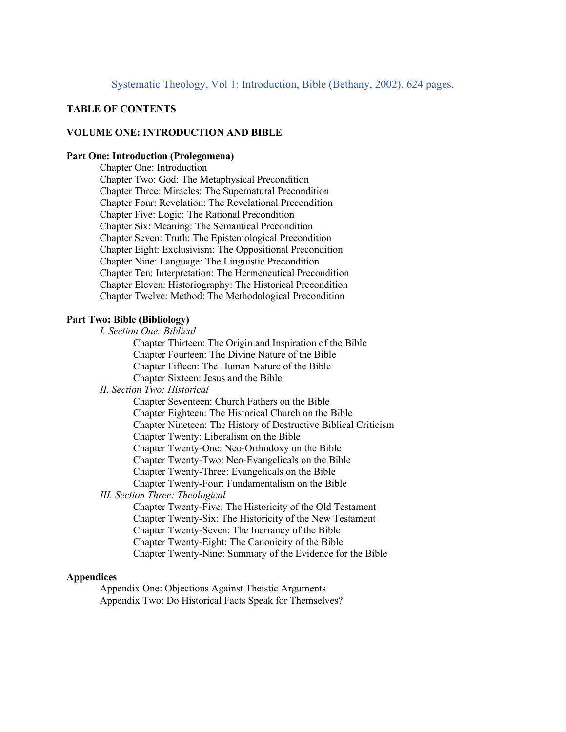# **TABLE OF CONTENTS**

# **VOLUME ONE: INTRODUCTION AND BIBLE**

### **Part One: Introduction (Prolegomena)**

Chapter One: Introduction Chapter Two: God: The Metaphysical Precondition Chapter Three: Miracles: The Supernatural Precondition Chapter Four: Revelation: The Revelational Precondition Chapter Five: Logic: The Rational Precondition Chapter Six: Meaning: The Semantical Precondition Chapter Seven: Truth: The Epistemological Precondition Chapter Eight: Exclusivism: The Oppositional Precondition Chapter Nine: Language: The Linguistic Precondition Chapter Ten: Interpretation: The Hermeneutical Precondition Chapter Eleven: Historiography: The Historical Precondition Chapter Twelve: Method: The Methodological Precondition

### **Part Two: Bible (Bibliology)**

*I. Section One: Biblical*

Chapter Thirteen: The Origin and Inspiration of the Bible Chapter Fourteen: The Divine Nature of the Bible Chapter Fifteen: The Human Nature of the Bible Chapter Sixteen: Jesus and the Bible

#### *II. Section Two: Historical*

Chapter Seventeen: Church Fathers on the Bible Chapter Eighteen: The Historical Church on the Bible Chapter Nineteen: The History of Destructive Biblical Criticism Chapter Twenty: Liberalism on the Bible Chapter Twenty-One: Neo-Orthodoxy on the Bible

Chapter Twenty-Two: Neo-Evangelicals on the Bible

Chapter Twenty-Three: Evangelicals on the Bible

Chapter Twenty-Four: Fundamentalism on the Bible

*III. Section Three: Theological*

Chapter Twenty-Five: The Historicity of the Old Testament Chapter Twenty-Six: The Historicity of the New Testament Chapter Twenty-Seven: The Inerrancy of the Bible Chapter Twenty-Eight: The Canonicity of the Bible Chapter Twenty-Nine: Summary of the Evidence for the Bible

### **Appendices**

Appendix One: Objections Against Theistic Arguments Appendix Two: Do Historical Facts Speak for Themselves?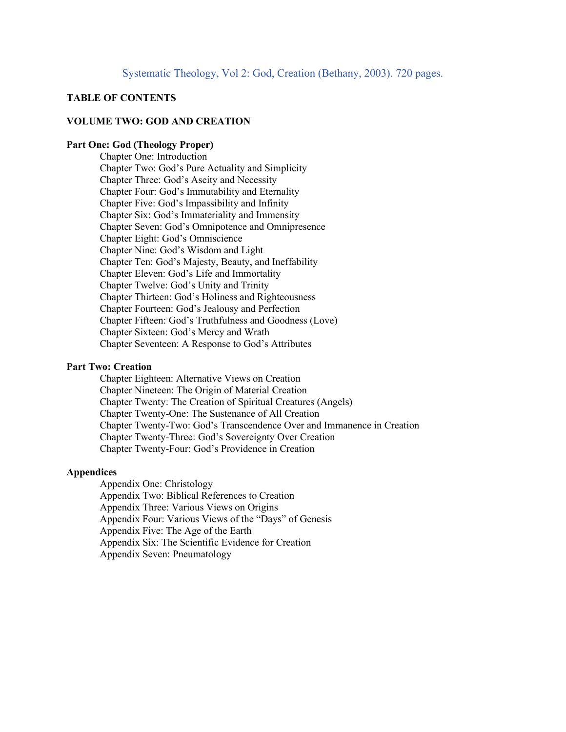# **TABLE OF CONTENTS**

# **VOLUME TWO: GOD AND CREATION**

#### **Part One: God (Theology Proper)**

Chapter One: Introduction Chapter Two: God's Pure Actuality and Simplicity Chapter Three: God's Aseity and Necessity Chapter Four: God's Immutability and Eternality Chapter Five: God's Impassibility and Infinity Chapter Six: God's Immateriality and Immensity Chapter Seven: God's Omnipotence and Omnipresence Chapter Eight: God's Omniscience Chapter Nine: God's Wisdom and Light Chapter Ten: God's Majesty, Beauty, and Ineffability Chapter Eleven: God's Life and Immortality Chapter Twelve: God's Unity and Trinity Chapter Thirteen: God's Holiness and Righteousness Chapter Fourteen: God's Jealousy and Perfection Chapter Fifteen: God's Truthfulness and Goodness (Love) Chapter Sixteen: God's Mercy and Wrath Chapter Seventeen: A Response to God's Attributes

# **Part Two: Creation**

Chapter Eighteen: Alternative Views on Creation Chapter Nineteen: The Origin of Material Creation Chapter Twenty: The Creation of Spiritual Creatures (Angels) Chapter Twenty-One: The Sustenance of All Creation Chapter Twenty-Two: God's Transcendence Over and Immanence in Creation Chapter Twenty-Three: God's Sovereignty Over Creation Chapter Twenty-Four: God's Providence in Creation

#### **Appendices**

Appendix One: Christology Appendix Two: Biblical References to Creation Appendix Three: Various Views on Origins Appendix Four: Various Views of the "Days" of Genesis Appendix Five: The Age of the Earth Appendix Six: The Scientific Evidence for Creation Appendix Seven: Pneumatology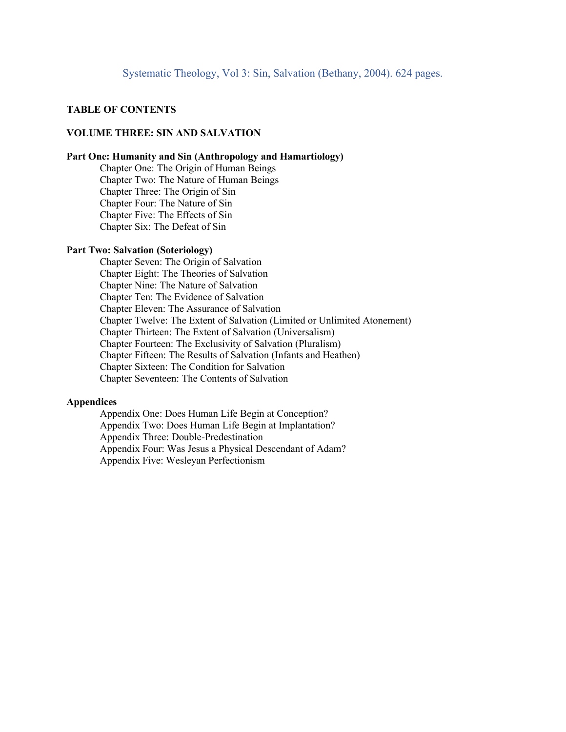### **TABLE OF CONTENTS**

### **VOLUME THREE: SIN AND SALVATION**

#### **Part One: Humanity and Sin (Anthropology and Hamartiology)**

Chapter One: The Origin of Human Beings Chapter Two: The Nature of Human Beings Chapter Three: The Origin of Sin Chapter Four: The Nature of Sin Chapter Five: The Effects of Sin Chapter Six: The Defeat of Sin

### **Part Two: Salvation (Soteriology)**

Chapter Seven: The Origin of Salvation Chapter Eight: The Theories of Salvation Chapter Nine: The Nature of Salvation Chapter Ten: The Evidence of Salvation Chapter Eleven: The Assurance of Salvation Chapter Twelve: The Extent of Salvation (Limited or Unlimited Atonement) Chapter Thirteen: The Extent of Salvation (Universalism) Chapter Fourteen: The Exclusivity of Salvation (Pluralism) Chapter Fifteen: The Results of Salvation (Infants and Heathen) Chapter Sixteen: The Condition for Salvation Chapter Seventeen: The Contents of Salvation

### **Appendices**

Appendix One: Does Human Life Begin at Conception? Appendix Two: Does Human Life Begin at Implantation? Appendix Three: Double-Predestination Appendix Four: Was Jesus a Physical Descendant of Adam? Appendix Five: Wesleyan Perfectionism